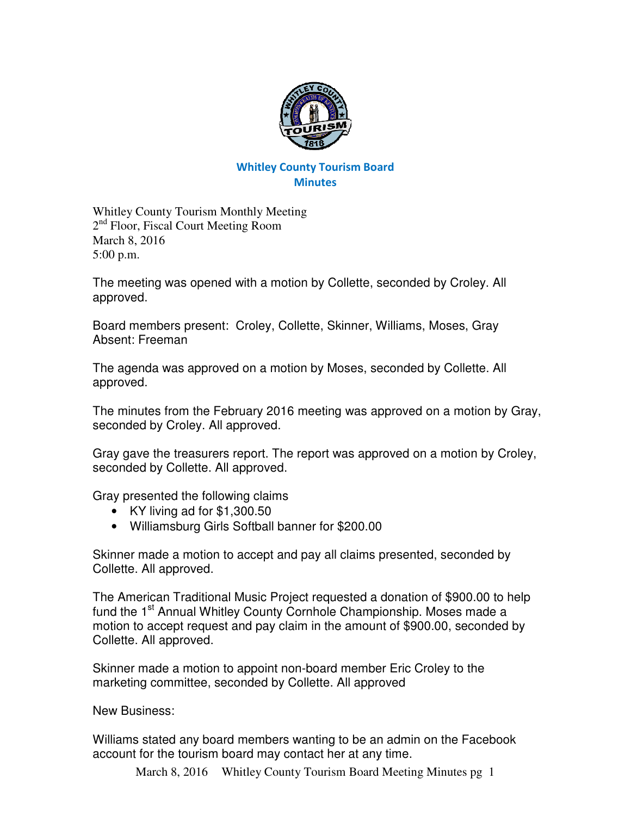

## Whitley County Tourism Board **Minutes**

Whitley County Tourism Monthly Meeting 2<sup>nd</sup> Floor, Fiscal Court Meeting Room March 8, 2016 5:00 p.m.

The meeting was opened with a motion by Collette, seconded by Croley. All approved.

Board members present: Croley, Collette, Skinner, Williams, Moses, Gray Absent: Freeman

The agenda was approved on a motion by Moses, seconded by Collette. All approved.

The minutes from the February 2016 meeting was approved on a motion by Gray, seconded by Croley. All approved.

Gray gave the treasurers report. The report was approved on a motion by Croley, seconded by Collette. All approved.

Gray presented the following claims

- KY living ad for \$1,300.50
- Williamsburg Girls Softball banner for \$200.00

Skinner made a motion to accept and pay all claims presented, seconded by Collette. All approved.

The American Traditional Music Project requested a donation of \$900.00 to help fund the 1<sup>st</sup> Annual Whitley County Cornhole Championship. Moses made a motion to accept request and pay claim in the amount of \$900.00, seconded by Collette. All approved.

Skinner made a motion to appoint non-board member Eric Croley to the marketing committee, seconded by Collette. All approved

New Business:

Williams stated any board members wanting to be an admin on the Facebook account for the tourism board may contact her at any time.

March 8, 2016 Whitley County Tourism Board Meeting Minutes pg 1